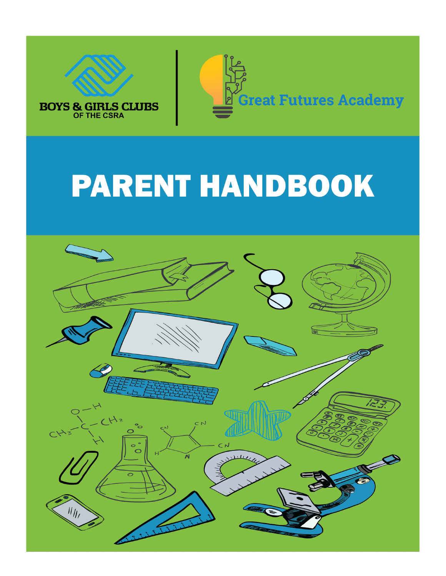



# **PARENT HANDBOOK**

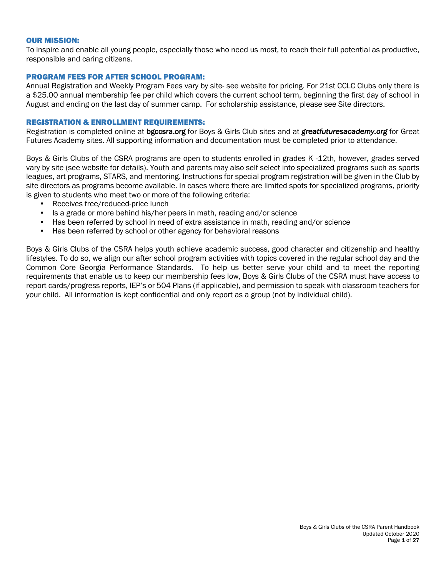#### OUR MISSION:

To inspire and enable all young people, especially those who need us most, to reach their full potential as productive, responsible and caring citizens.

#### PROGRAM FEES FOR AFTER SCHOOL PROGRAM:

Annual Registration and Weekly Program Fees vary by site- see website for pricing. For 21st CCLC Clubs only there is a \$25.00 annual membership fee per child which covers the current school term, beginning the first day of school in August and ending on the last day of summer camp. For scholarship assistance, please see Site directors.

#### REGISTRATION & ENROLLMENT REQUIREMENTS:

Registration is completed online at bgccsra.org for Boys & Girls Club sites and at *greatfuturesacademy.org* for Great Futures Academy sites. All supporting information and documentation must be completed prior to attendance.

Boys & Girls Clubs of the CSRA programs are open to students enrolled in grades K -12th, however, grades served vary by site (see website for details). Youth and parents may also self select into specialized programs such as sports leagues, art programs, STARS, and mentoring. Instructions for special program registration will be given in the Club by site directors as programs become available. In cases where there are limited spots for specialized programs, priority is given to students who meet two or more of the following criteria:

- Receives free/reduced-price lunch
- Is a grade or more behind his/her peers in math, reading and/or science
- Has been referred by school in need of extra assistance in math, reading and/or science
- Has been referred by school or other agency for behavioral reasons

Boys & Girls Clubs of the CSRA helps youth achieve academic success, good character and citizenship and healthy lifestyles. To do so, we align our after school program activities with topics covered in the regular school day and the Common Core Georgia Performance Standards. To help us better serve your child and to meet the reporting requirements that enable us to keep our membership fees low, Boys & Girls Clubs of the CSRA must have access to report cards/progress reports, IEP's or 504 Plans (if applicable), and permission to speak with classroom teachers for your child. All information is kept confidential and only report as a group (not by individual child).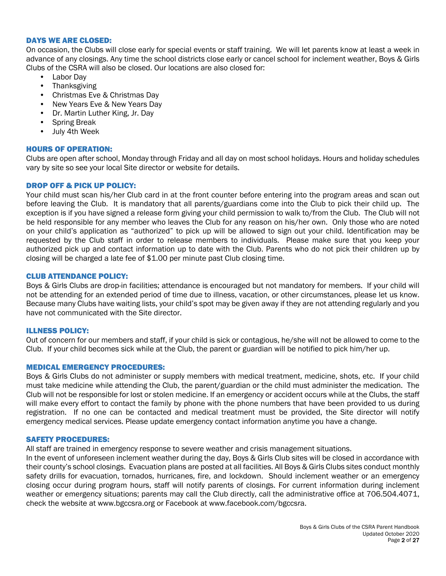#### DAYS WE ARE CLOSED:

On occasion, the Clubs will close early for special events or staff training. We will let parents know at least a week in advance of any closings. Any time the school districts close early or cancel school for inclement weather, Boys & Girls Clubs of the CSRA will also be closed. Our locations are also closed for:

- Labor Day
- Thanksgiving
- Christmas Eve & Christmas Day
- New Years Eve & New Years Day
- Dr. Martin Luther King, Jr. Day
- Spring Break
- July 4th Week

## HOURS OF OPERATION:

Clubs are open after school, Monday through Friday and all day on most school holidays. Hours and holiday schedules vary by site so see your local Site director or website for details.

## DROP OFF & PICK UP POLICY:

Your child must scan his/her Club card in at the front counter before entering into the program areas and scan out before leaving the Club. It is mandatory that all parents/guardians come into the Club to pick their child up. The exception is if you have signed a release form giving your child permission to walk to/from the Club. The Club will not be held responsible for any member who leaves the Club for any reason on his/her own. Only those who are noted on your child's application as "authorized" to pick up will be allowed to sign out your child. Identification may be requested by the Club staff in order to release members to individuals. Please make sure that you keep your authorized pick up and contact information up to date with the Club. Parents who do not pick their children up by closing will be charged a late fee of \$1.00 per minute past Club closing time.

## CLUB ATTENDANCE POLICY:

Boys & Girls Clubs are drop-in facilities; attendance is encouraged but not mandatory for members. If your child will not be attending for an extended period of time due to illness, vacation, or other circumstances, please let us know. Because many Clubs have waiting lists, your child's spot may be given away if they are not attending regularly and you have not communicated with the Site director.

#### ILLNESS POLICY:

Out of concern for our members and staff, if your child is sick or contagious, he/she will not be allowed to come to the Club. If your child becomes sick while at the Club, the parent or guardian will be notified to pick him/her up.

#### MEDICAL EMERGENCY PROCEDURES:

Boys & Girls Clubs do not administer or supply members with medical treatment, medicine, shots, etc. If your child must take medicine while attending the Club, the parent/guardian or the child must administer the medication. The Club will not be responsible for lost or stolen medicine. If an emergency or accident occurs while at the Clubs, the staff will make every effort to contact the family by phone with the phone numbers that have been provided to us during registration. If no one can be contacted and medical treatment must be provided, the Site director will notify emergency medical services. Please update emergency contact information anytime you have a change.

## SAFETY PROCEDURES:

All staff are trained in emergency response to severe weather and crisis management situations.

In the event of unforeseen inclement weather during the day, Boys & Girls Club sites will be closed in accordance with their county's school closings. Evacuation plans are posted at all facilities. All Boys & Girls Clubs sites conduct monthly safety drills for evacuation, tornados, hurricanes, fire, and lockdown. Should inclement weather or an emergency closing occur during program hours, staff will notify parents of closings. For current information during inclement weather or emergency situations; parents may call the Club directly, call the administrative office at 706.504.4071, check the website at www.bgccsra.org or Facebook at www.facebook.com/bgccsra.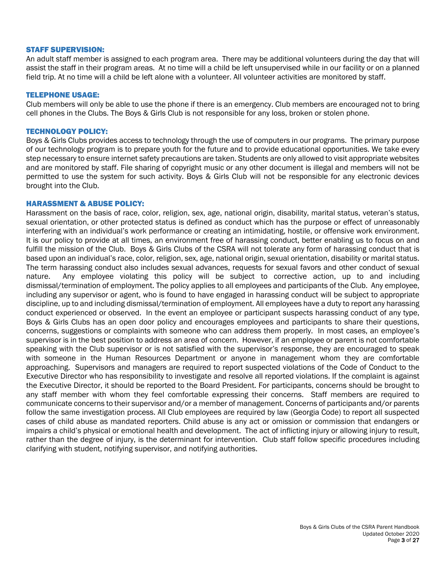#### STAFF SUPERVISION:

An adult staff member is assigned to each program area. There may be additional volunteers during the day that will assist the staff in their program areas. At no time will a child be left unsupervised while in our facility or on a planned field trip. At no time will a child be left alone with a volunteer. All volunteer activities are monitored by staff.

#### TELEPHONE USAGE:

Club members will only be able to use the phone if there is an emergency. Club members are encouraged not to bring cell phones in the Clubs. The Boys & Girls Club is not responsible for any loss, broken or stolen phone.

#### TECHNOLOGY POLICY:

Boys & Girls Clubs provides access to technology through the use of computers in our programs. The primary purpose of our technology program is to prepare youth for the future and to provide educational opportunities. We take every step necessary to ensure internet safety precautions are taken. Students are only allowed to visit appropriate websites and are monitored by staff. File sharing of copyright music or any other document is illegal and members will not be permitted to use the system for such activity. Boys & Girls Club will not be responsible for any electronic devices brought into the Club.

#### HARASSMENT & ABUSE POLICY:

Harassment on the basis of race, color, religion, sex, age, national origin, disability, marital status, veteran's status, sexual orientation, or other protected status is defined as conduct which has the purpose or effect of unreasonably interfering with an individual's work performance or creating an intimidating, hostile, or offensive work environment. It is our policy to provide at all times, an environment free of harassing conduct, better enabling us to focus on and fulfill the mission of the Club. Boys & Girls Clubs of the CSRA will not tolerate any form of harassing conduct that is based upon an individual's race, color, religion, sex, age, national origin, sexual orientation, disability or marital status. The term harassing conduct also includes sexual advances, requests for sexual favors and other conduct of sexual nature. Any employee violating this policy will be subject to corrective action, up to and including dismissal/termination of employment. The policy applies to all employees and participants of the Club. Any employee, including any supervisor or agent, who is found to have engaged in harassing conduct will be subject to appropriate discipline, up to and including dismissal/termination of employment. All employees have a duty to report any harassing conduct experienced or observed. In the event an employee or participant suspects harassing conduct of any type, Boys & Girls Clubs has an open door policy and encourages employees and participants to share their questions, concerns, suggestions or complaints with someone who can address them properly. In most cases, an employee's supervisor is in the best position to address an area of concern. However, if an employee or parent is not comfortable speaking with the Club supervisor or is not satisfied with the supervisor's response, they are encouraged to speak with someone in the Human Resources Department or anyone in management whom they are comfortable approaching. Supervisors and managers are required to report suspected violations of the Code of Conduct to the Executive Director who has responsibility to investigate and resolve all reported violations. If the complaint is against the Executive Director, it should be reported to the Board President. For participants, concerns should be brought to any staff member with whom they feel comfortable expressing their concerns. Staff members are required to communicate concerns to their supervisor and/or a member of management. Concerns of participants and/or parents follow the same investigation process. All Club employees are required by law (Georgia Code) to report all suspected cases of child abuse as mandated reporters. Child abuse is any act or omission or commission that endangers or impairs a child's physical or emotional health and development. The act of inflicting injury or allowing injury to result, rather than the degree of injury, is the determinant for intervention. Club staff follow specific procedures including clarifying with student, notifying supervisor, and notifying authorities.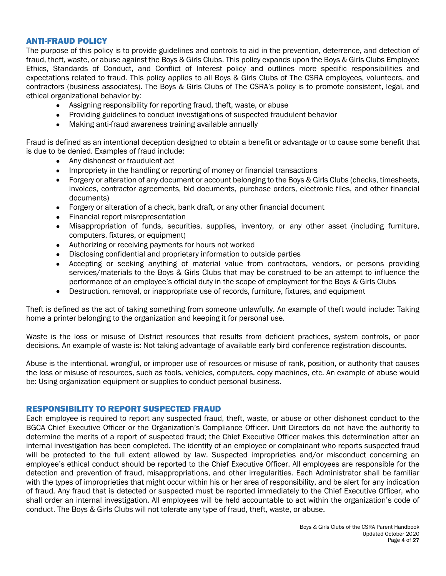## ANTI-FRAUD POLICY

The purpose of this policy is to provide guidelines and controls to aid in the prevention, deterrence, and detection of fraud, theft, waste, or abuse against the Boys & Girls Clubs. This policy expands upon the Boys & Girls Clubs Employee Ethics, Standards of Conduct, and Conflict of Interest policy and outlines more specific responsibilities and expectations related to fraud. This policy applies to all Boys & Girls Clubs of The CSRA employees, volunteers, and contractors (business associates). The Boys & Girls Clubs of The CSRA's policy is to promote consistent, legal, and ethical organizational behavior by:

- Assigning responsibility for reporting fraud, theft, waste, or abuse
- Providing guidelines to conduct investigations of suspected fraudulent behavior
- Making anti-fraud awareness training available annually

Fraud is defined as an intentional deception designed to obtain a benefit or advantage or to cause some benefit that is due to be denied. Examples of fraud include:

- Any dishonest or fraudulent act
- Impropriety in the handling or reporting of money or financial transactions
- Forgery or alteration of any document or account belonging to the Boys & Girls Clubs (checks, timesheets, invoices, contractor agreements, bid documents, purchase orders, electronic files, and other financial documents)
- Forgery or alteration of a check, bank draft, or any other financial document
- Financial report misrepresentation
- Misappropriation of funds, securities, supplies, inventory, or any other asset (including furniture, computers, fixtures, or equipment)
- Authorizing or receiving payments for hours not worked
- Disclosing confidential and proprietary information to outside parties
- Accepting or seeking anything of material value from contractors, vendors, or persons providing services/materials to the Boys & Girls Clubs that may be construed to be an attempt to influence the performance of an employee's official duty in the scope of employment for the Boys & Girls Clubs
- Destruction, removal, or inappropriate use of records, furniture, fixtures, and equipment

Theft is defined as the act of taking something from someone unlawfully. An example of theft would include: Taking home a printer belonging to the organization and keeping it for personal use.

Waste is the loss or misuse of District resources that results from deficient practices, system controls, or poor decisions. An example of waste is: Not taking advantage of available early bird conference registration discounts.

Abuse is the intentional, wrongful, or improper use of resources or misuse of rank, position, or authority that causes the loss or misuse of resources, such as tools, vehicles, computers, copy machines, etc. An example of abuse would be: Using organization equipment or supplies to conduct personal business.

## RESPONSIBILITY TO REPORT SUSPECTED FRAUD

Each employee is required to report any suspected fraud, theft, waste, or abuse or other dishonest conduct to the BGCA Chief Executive Officer or the Organization's Compliance Officer. Unit Directors do not have the authority to determine the merits of a report of suspected fraud; the Chief Executive Officer makes this determination after an internal investigation has been completed. The identity of an employee or complainant who reports suspected fraud will be protected to the full extent allowed by law. Suspected improprieties and/or misconduct concerning an employee's ethical conduct should be reported to the Chief Executive Officer. All employees are responsible for the detection and prevention of fraud, misappropriations, and other irregularities. Each Administrator shall be familiar with the types of improprieties that might occur within his or her area of responsibility, and be alert for any indication of fraud. Any fraud that is detected or suspected must be reported immediately to the Chief Executive Officer, who shall order an internal investigation. All employees will be held accountable to act within the organization's code of conduct. The Boys & Girls Clubs will not tolerate any type of fraud, theft, waste, or abuse.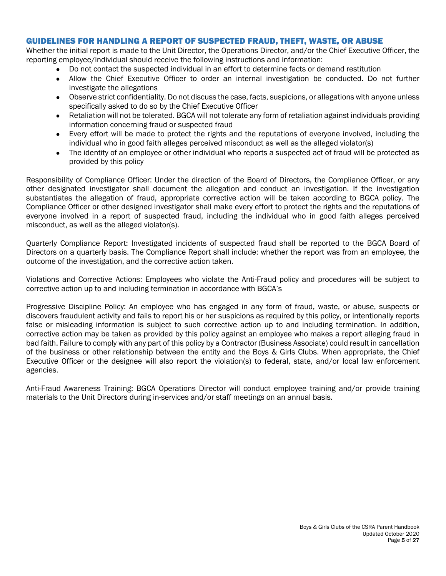## GUIDELINES FOR HANDLING A REPORT OF SUSPECTED FRAUD, THEFT, WASTE, OR ABUSE

Whether the initial report is made to the Unit Director, the Operations Director, and/or the Chief Executive Officer, the reporting employee/individual should receive the following instructions and information:

- Do not contact the suspected individual in an effort to determine facts or demand restitution
- Allow the Chief Executive Officer to order an internal investigation be conducted. Do not further investigate the allegations
- Observe strict confidentiality. Do not discuss the case, facts, suspicions, or allegations with anyone unless specifically asked to do so by the Chief Executive Officer
- Retaliation will not be tolerated. BGCA will not tolerate any form of retaliation against individuals providing information concerning fraud or suspected fraud
- Every effort will be made to protect the rights and the reputations of everyone involved, including the individual who in good faith alleges perceived misconduct as well as the alleged violator(s)
- The identity of an employee or other individual who reports a suspected act of fraud will be protected as provided by this policy

Responsibility of Compliance Officer: Under the direction of the Board of Directors, the Compliance Officer, or any other designated investigator shall document the allegation and conduct an investigation. If the investigation substantiates the allegation of fraud, appropriate corrective action will be taken according to BGCA policy. The Compliance Officer or other designed investigator shall make every effort to protect the rights and the reputations of everyone involved in a report of suspected fraud, including the individual who in good faith alleges perceived misconduct, as well as the alleged violator(s).

Quarterly Compliance Report: Investigated incidents of suspected fraud shall be reported to the BGCA Board of Directors on a quarterly basis. The Compliance Report shall include: whether the report was from an employee, the outcome of the investigation, and the corrective action taken.

Violations and Corrective Actions: Employees who violate the Anti-Fraud policy and procedures will be subject to corrective action up to and including termination in accordance with BGCA's

Progressive Discipline Policy: An employee who has engaged in any form of fraud, waste, or abuse, suspects or discovers fraudulent activity and fails to report his or her suspicions as required by this policy, or intentionally reports false or misleading information is subject to such corrective action up to and including termination. In addition, corrective action may be taken as provided by this policy against an employee who makes a report alleging fraud in bad faith. Failure to comply with any part of this policy by a Contractor (Business Associate) could result in cancellation of the business or other relationship between the entity and the Boys & Girls Clubs. When appropriate, the Chief Executive Officer or the designee will also report the violation(s) to federal, state, and/or local law enforcement agencies.

Anti-Fraud Awareness Training: BGCA Operations Director will conduct employee training and/or provide training materials to the Unit Directors during in-services and/or staff meetings on an annual basis.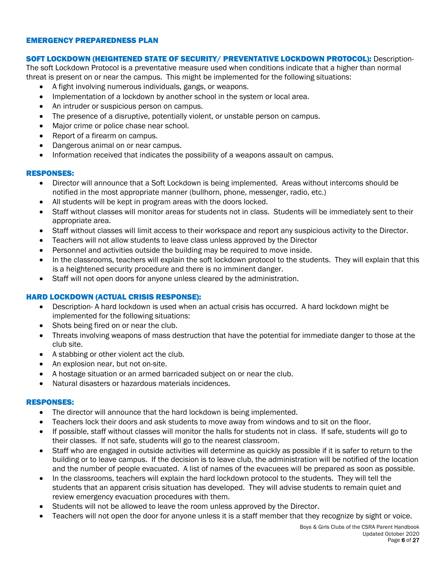#### EMERGENCY PREPAREDNESS PLAN

#### SOFT LOCKDOWN (HEIGHTENED STATE OF SECURITY/ PREVENTATIVE LOCKDOWN PROTOCOL): Description-

The soft Lockdown Protocol is a preventative measure used when conditions indicate that a higher than normal threat is present on or near the campus. This might be implemented for the following situations:

- A fight involving numerous individuals, gangs, or weapons.
- Implementation of a lockdown by another school in the system or local area.
- An intruder or suspicious person on campus.
- The presence of a disruptive, potentially violent, or unstable person on campus.
- Major crime or police chase near school.
- Report of a firearm on campus.
- Dangerous animal on or near campus.
- Information received that indicates the possibility of a weapons assault on campus.

## RESPONSES:

- Director will announce that a Soft Lockdown is being implemented. Areas without intercoms should be notified in the most appropriate manner (bullhorn, phone, messenger, radio, etc.)
- All students will be kept in program areas with the doors locked.
- Staff without classes will monitor areas for students not in class. Students will be immediately sent to their appropriate area.
- Staff without classes will limit access to their workspace and report any suspicious activity to the Director.
- Teachers will not allow students to leave class unless approved by the Director
- Personnel and activities outside the building may be required to move inside.
- In the classrooms, teachers will explain the soft lockdown protocol to the students. They will explain that this is a heightened security procedure and there is no imminent danger.
- Staff will not open doors for anyone unless cleared by the administration.

## HARD LOCKDOWN (ACTUAL CRISIS RESPONSE):

- Description- A hard lockdown is used when an actual crisis has occurred. A hard lockdown might be implemented for the following situations:
- Shots being fired on or near the club.
- Threats involving weapons of mass destruction that have the potential for immediate danger to those at the club site.
- A stabbing or other violent act the club.
- An explosion near, but not on-site.
- A hostage situation or an armed barricaded subject on or near the club.
- Natural disasters or hazardous materials incidences.

## RESPONSES:

- The director will announce that the hard lockdown is being implemented.
- Teachers lock their doors and ask students to move away from windows and to sit on the floor.
- If possible, staff without classes will monitor the halls for students not in class. If safe, students will go to their classes. If not safe, students will go to the nearest classroom.
- Staff who are engaged in outside activities will determine as quickly as possible if it is safer to return to the building or to leave campus. If the decision is to leave club, the administration will be notified of the location and the number of people evacuated. A list of names of the evacuees will be prepared as soon as possible.
- In the classrooms, teachers will explain the hard lockdown protocol to the students. They will tell the students that an apparent crisis situation has developed. They will advise students to remain quiet and review emergency evacuation procedures with them.
- Students will not be allowed to leave the room unless approved by the Director.
- Teachers will not open the door for anyone unless it is a staff member that they recognize by sight or voice.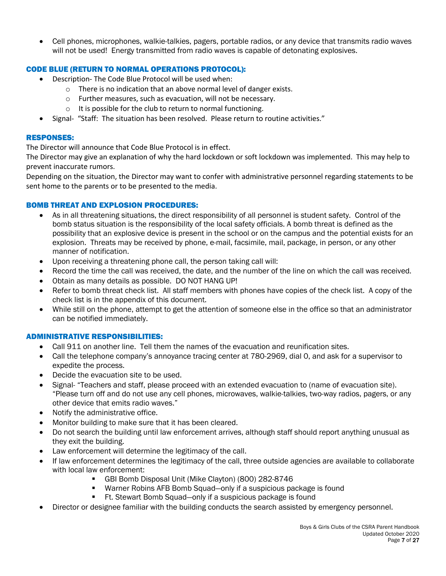• Cell phones, microphones, walkie-talkies, pagers, portable radios, or any device that transmits radio waves will not be used! Energy transmitted from radio waves is capable of detonating explosives.

# CODE BLUE (RETURN TO NORMAL OPERATIONS PROTOCOL):

- Description- The Code Blue Protocol will be used when:
	- o There is no indication that an above normal level of danger exists.
	- o Further measures, such as evacuation, will not be necessary.
	- o It is possible for the club to return to normal functioning.
- Signal- "Staff: The situation has been resolved. Please return to routine activities."

## RESPONSES:

The Director will announce that Code Blue Protocol is in effect.

The Director may give an explanation of why the hard lockdown or soft lockdown was implemented. This may help to prevent inaccurate rumors.

Depending on the situation, the Director may want to confer with administrative personnel regarding statements to be sent home to the parents or to be presented to the media.

## BOMB THREAT AND EXPLOSION PROCEDURES:

- As in all threatening situations, the direct responsibility of all personnel is student safety. Control of the bomb status situation is the responsibility of the local safety officials. A bomb threat is defined as the possibility that an explosive device is present in the school or on the campus and the potential exists for an explosion. Threats may be received by phone, e-mail, facsimile, mail, package, in person, or any other manner of notification.
- Upon receiving a threatening phone call, the person taking call will:
- Record the time the call was received, the date, and the number of the line on which the call was received.
- Obtain as many details as possible. DO NOT HANG UP!
- Refer to bomb threat check list. All staff members with phones have copies of the check list. A copy of the check list is in the appendix of this document.
- While still on the phone, attempt to get the attention of someone else in the office so that an administrator can be notified immediately.

# ADMINISTRATIVE RESPONSIBILITIES:

- Call 911 on another line. Tell them the names of the evacuation and reunification sites.
- Call the telephone company's annoyance tracing center at 780-2969, dial 0, and ask for a supervisor to expedite the process.
- Decide the evacuation site to be used.
- Signal- "Teachers and staff, please proceed with an extended evacuation to (name of evacuation site). "Please turn off and do not use any cell phones, microwaves, walkie-talkies, two-way radios, pagers, or any other device that emits radio waves."
- Notify the administrative office.
- Monitor building to make sure that it has been cleared.
- Do not search the building until law enforcement arrives, although staff should report anything unusual as they exit the building.
- Law enforcement will determine the legitimacy of the call.
- If law enforcement determines the legitimacy of the call, three outside agencies are available to collaborate with local law enforcement:
	- § GBI Bomb Disposal Unit (Mike Clayton) (800) 282-8746
	- Warner Robins AFB Bomb Squad—only if a suspicious package is found
	- Ft. Stewart Bomb Squad—only if a suspicious package is found
- Director or designee familiar with the building conducts the search assisted by emergency personnel.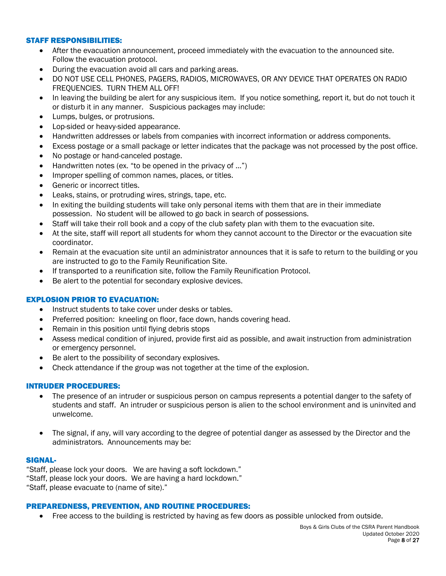#### STAFF RESPONSIBILITIES:

- After the evacuation announcement, proceed immediately with the evacuation to the announced site. Follow the evacuation protocol.
- During the evacuation avoid all cars and parking areas.
- DO NOT USE CELL PHONES, PAGERS, RADIOS, MICROWAVES, OR ANY DEVICE THAT OPERATES ON RADIO FREQUENCIES. TURN THEM ALL OFF!
- In leaving the building be alert for any suspicious item. If you notice something, report it, but do not touch it or disturb it in any manner. Suspicious packages may include:
- Lumps, bulges, or protrusions.
- Lop-sided or heavy-sided appearance.
- Handwritten addresses or labels from companies with incorrect information or address components.
- Excess postage or a small package or letter indicates that the package was not processed by the post office.
- No postage or hand-canceled postage.
- Handwritten notes (ex. "to be opened in the privacy of ...")
- Improper spelling of common names, places, or titles.
- Generic or incorrect titles.
- Leaks, stains, or protruding wires, strings, tape, etc.
- In exiting the building students will take only personal items with them that are in their immediate possession. No student will be allowed to go back in search of possessions.
- Staff will take their roll book and a copy of the club safety plan with them to the evacuation site.
- At the site, staff will report all students for whom they cannot account to the Director or the evacuation site coordinator.
- Remain at the evacuation site until an administrator announces that it is safe to return to the building or you are instructed to go to the Family Reunification Site.
- If transported to a reunification site, follow the Family Reunification Protocol.
- Be alert to the potential for secondary explosive devices.

## EXPLOSION PRIOR TO EVACUATION:

- Instruct students to take cover under desks or tables.
- Preferred position: kneeling on floor, face down, hands covering head.
- Remain in this position until flying debris stops
- Assess medical condition of injured, provide first aid as possible, and await instruction from administration or emergency personnel.
- Be alert to the possibility of secondary explosives.
- Check attendance if the group was not together at the time of the explosion.

## INTRUDER PROCEDURES:

- The presence of an intruder or suspicious person on campus represents a potential danger to the safety of students and staff. An intruder or suspicious person is alien to the school environment and is uninvited and unwelcome.
- The signal, if any, will vary according to the degree of potential danger as assessed by the Director and the administrators. Announcements may be:

#### SIGNAL-

"Staff, please lock your doors. We are having a soft lockdown." "Staff, please lock your doors. We are having a hard lockdown." "Staff, please evacuate to (name of site)."

## PREPAREDNESS, PREVENTION, AND ROUTINE PROCEDURES:

• Free access to the building is restricted by having as few doors as possible unlocked from outside.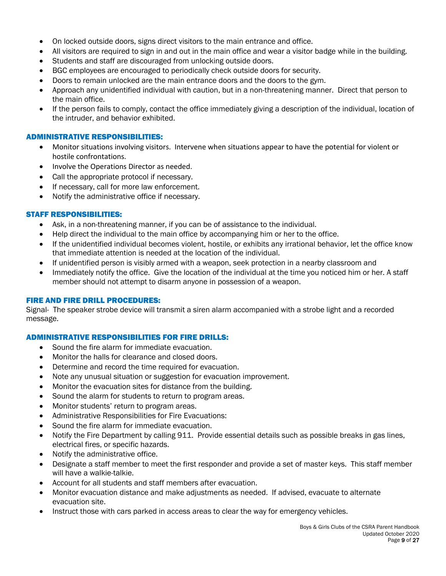- On locked outside doors, signs direct visitors to the main entrance and office.
- All visitors are required to sign in and out in the main office and wear a visitor badge while in the building.
- Students and staff are discouraged from unlocking outside doors.
- BGC employees are encouraged to periodically check outside doors for security.
- Doors to remain unlocked are the main entrance doors and the doors to the gym.
- Approach any unidentified individual with caution, but in a non-threatening manner. Direct that person to the main office.
- If the person fails to comply, contact the office immediately giving a description of the individual, location of the intruder, and behavior exhibited.

#### ADMINISTRATIVE RESPONSIBILITIES:

- Monitor situations involving visitors. Intervene when situations appear to have the potential for violent or hostile confrontations.
- Involve the Operations Director as needed.
- Call the appropriate protocol if necessary.
- If necessary, call for more law enforcement.
- Notify the administrative office if necessary.

## STAFF RESPONSIBILITIES:

- Ask, in a non-threatening manner, if you can be of assistance to the individual.
- Help direct the individual to the main office by accompanying him or her to the office.
- If the unidentified individual becomes violent, hostile, or exhibits any irrational behavior, let the office know that immediate attention is needed at the location of the individual.
- If unidentified person is visibly armed with a weapon, seek protection in a nearby classroom and
- Immediately notify the office. Give the location of the individual at the time you noticed him or her. A staff member should not attempt to disarm anyone in possession of a weapon.

## FIRE AND FIRE DRILL PROCEDURES:

Signal- The speaker strobe device will transmit a siren alarm accompanied with a strobe light and a recorded message.

## ADMINISTRATIVE RESPONSIBILITIES FOR FIRE DRILLS:

- Sound the fire alarm for immediate evacuation.
- Monitor the halls for clearance and closed doors.
- Determine and record the time required for evacuation.
- Note any unusual situation or suggestion for evacuation improvement.
- Monitor the evacuation sites for distance from the building.
- Sound the alarm for students to return to program areas.
- Monitor students' return to program areas.
- Administrative Responsibilities for Fire Evacuations:
- Sound the fire alarm for immediate evacuation.
- Notify the Fire Department by calling 911. Provide essential details such as possible breaks in gas lines, electrical fires, or specific hazards.
- Notify the administrative office.
- Designate a staff member to meet the first responder and provide a set of master keys. This staff member will have a walkie-talkie.
- Account for all students and staff members after evacuation.
- Monitor evacuation distance and make adjustments as needed. If advised, evacuate to alternate evacuation site.
- Instruct those with cars parked in access areas to clear the way for emergency vehicles.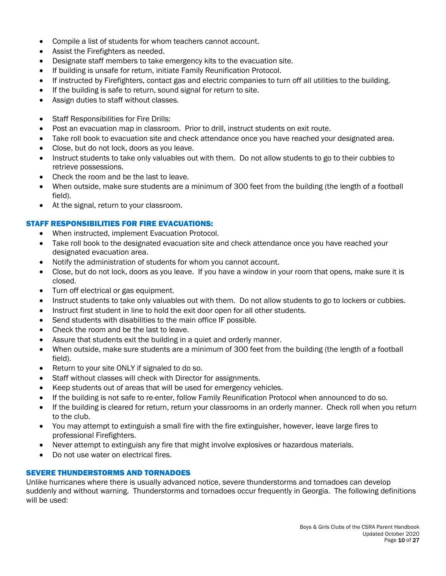- Compile a list of students for whom teachers cannot account.
- Assist the Firefighters as needed.
- Designate staff members to take emergency kits to the evacuation site.
- If building is unsafe for return, initiate Family Reunification Protocol.
- If instructed by Firefighters, contact gas and electric companies to turn off all utilities to the building.
- If the building is safe to return, sound signal for return to site.
- Assign duties to staff without classes.
- Staff Responsibilities for Fire Drills:
- Post an evacuation map in classroom. Prior to drill, instruct students on exit route.
- Take roll book to evacuation site and check attendance once you have reached your designated area.
- Close, but do not lock, doors as you leave.
- Instruct students to take only valuables out with them. Do not allow students to go to their cubbies to retrieve possessions.
- Check the room and be the last to leave.
- When outside, make sure students are a minimum of 300 feet from the building (the length of a football field).
- At the signal, return to your classroom.

## STAFF RESPONSIBILITIES FOR FIRE EVACUATIONS:

- When instructed, implement Evacuation Protocol.
- Take roll book to the designated evacuation site and check attendance once you have reached your designated evacuation area.
- Notify the administration of students for whom you cannot account.
- Close, but do not lock, doors as you leave. If you have a window in your room that opens, make sure it is closed.
- Turn off electrical or gas equipment.
- Instruct students to take only valuables out with them. Do not allow students to go to lockers or cubbies.
- Instruct first student in line to hold the exit door open for all other students.
- Send students with disabilities to the main office IF possible.
- Check the room and be the last to leave.
- Assure that students exit the building in a quiet and orderly manner.
- When outside, make sure students are a minimum of 300 feet from the building (the length of a football field).
- Return to your site ONLY if signaled to do so.
- Staff without classes will check with Director for assignments.
- Keep students out of areas that will be used for emergency vehicles.
- If the building is not safe to re-enter, follow Family Reunification Protocol when announced to do so.
- If the building is cleared for return, return your classrooms in an orderly manner. Check roll when you return to the club.
- You may attempt to extinguish a small fire with the fire extinguisher, however, leave large fires to professional Firefighters.
- Never attempt to extinguish any fire that might involve explosives or hazardous materials.
- Do not use water on electrical fires.

## SEVERE THUNDERSTORMS AND TORNADOES

Unlike hurricanes where there is usually advanced notice, severe thunderstorms and tornadoes can develop suddenly and without warning. Thunderstorms and tornadoes occur frequently in Georgia. The following definitions will be used: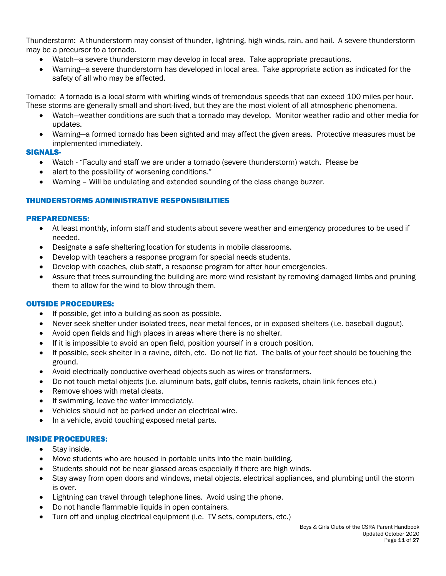Thunderstorm: A thunderstorm may consist of thunder, lightning, high winds, rain, and hail. A severe thunderstorm may be a precursor to a tornado.

- Watch—a severe thunderstorm may develop in local area. Take appropriate precautions.
- Warning—a severe thunderstorm has developed in local area. Take appropriate action as indicated for the safety of all who may be affected.

Tornado: A tornado is a local storm with whirling winds of tremendous speeds that can exceed 100 miles per hour. These storms are generally small and short-lived, but they are the most violent of all atmospheric phenomena.

- Watch—weather conditions are such that a tornado may develop. Monitor weather radio and other media for updates.
- Warning—a formed tornado has been sighted and may affect the given areas. Protective measures must be implemented immediately.

#### SIGNALS-

- Watch "Faculty and staff we are under a tornado (severe thunderstorm) watch. Please be
- alert to the possibility of worsening conditions."
- Warning Will be undulating and extended sounding of the class change buzzer.

## THUNDERSTORMS ADMINISTRATIVE RESPONSIBILITIES

#### PREPAREDNESS:

- At least monthly, inform staff and students about severe weather and emergency procedures to be used if needed.
- Designate a safe sheltering location for students in mobile classrooms.
- Develop with teachers a response program for special needs students.
- Develop with coaches, club staff, a response program for after hour emergencies.
- Assure that trees surrounding the building are more wind resistant by removing damaged limbs and pruning them to allow for the wind to blow through them.

## OUTSIDE PROCEDURES:

- If possible, get into a building as soon as possible.
- Never seek shelter under isolated trees, near metal fences, or in exposed shelters (i.e. baseball dugout).
- Avoid open fields and high places in areas where there is no shelter.
- If it is impossible to avoid an open field, position yourself in a crouch position.
- If possible, seek shelter in a ravine, ditch, etc. Do not lie flat. The balls of your feet should be touching the ground.
- Avoid electrically conductive overhead objects such as wires or transformers.
- Do not touch metal objects (i.e. aluminum bats, golf clubs, tennis rackets, chain link fences etc.)
- Remove shoes with metal cleats.
- If swimming, leave the water immediately.
- Vehicles should not be parked under an electrical wire.
- In a vehicle, avoid touching exposed metal parts.

#### INSIDE PROCEDURES:

- Stav inside.
- Move students who are housed in portable units into the main building.
- Students should not be near glassed areas especially if there are high winds.
- Stay away from open doors and windows, metal objects, electrical appliances, and plumbing until the storm is over.
- Lightning can travel through telephone lines. Avoid using the phone.
- Do not handle flammable liquids in open containers.
- Turn off and unplug electrical equipment (i.e. TV sets, computers, etc.)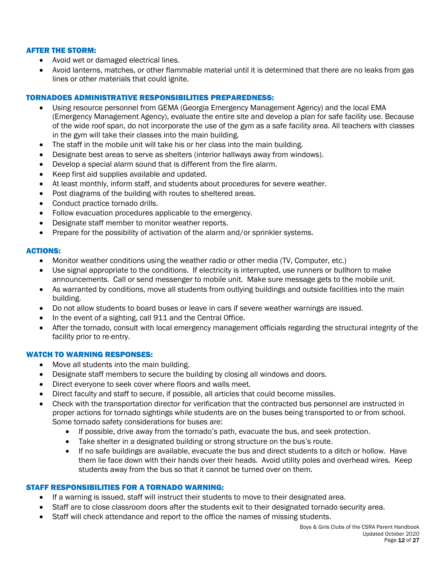## AFTER THE STORM:

- Avoid wet or damaged electrical lines.
- Avoid lanterns, matches, or other flammable material until it is determined that there are no leaks from gas lines or other materials that could ignite.

## TORNADOES ADMINISTRATIVE RESPONSIBILITIES PREPAREDNESS:

- Using resource personnel from GEMA (Georgia Emergency Management Agency) and the local EMA (Emergency Management Agency), evaluate the entire site and develop a plan for safe facility use. Because of the wide roof span, do not incorporate the use of the gym as a safe facility area. All teachers with classes in the gym will take their classes into the main building.
- The staff in the mobile unit will take his or her class into the main building.
- Designate best areas to serve as shelters (interior hallways away from windows).
- Develop a special alarm sound that is different from the fire alarm.
- Keep first aid supplies available and updated.
- At least monthly, inform staff, and students about procedures for severe weather.
- Post diagrams of the building with routes to sheltered areas.
- Conduct practice tornado drills.
- Follow evacuation procedures applicable to the emergency.
- Designate staff member to monitor weather reports.
- Prepare for the possibility of activation of the alarm and/or sprinkler systems.

#### ACTIONS:

- Monitor weather conditions using the weather radio or other media (TV, Computer, etc.)
- Use signal appropriate to the conditions. If electricity is interrupted, use runners or bullhorn to make announcements. Call or send messenger to mobile unit. Make sure message gets to the mobile unit.
- As warranted by conditions, move all students from outlying buildings and outside facilities into the main building.
- Do not allow students to board buses or leave in cars if severe weather warnings are issued.
- In the event of a sighting, call 911 and the Central Office.
- After the tornado, consult with local emergency management officials regarding the structural integrity of the facility prior to re-entry.

## WATCH TO WARNING RESPONSES:

- Move all students into the main building.
- Designate staff members to secure the building by closing all windows and doors.
- Direct everyone to seek cover where floors and walls meet.
- Direct faculty and staff to secure, if possible, all articles that could become missiles.
- Check with the transportation director for verification that the contracted bus personnel are instructed in proper actions for tornado sightings while students are on the buses being transported to or from school. Some tornado safety considerations for buses are:
	- If possible, drive away from the tornado's path, evacuate the bus, and seek protection.
	- Take shelter in a designated building or strong structure on the bus's route.
	- If no safe buildings are available, evacuate the bus and direct students to a ditch or hollow. Have them lie face down with their hands over their heads. Avoid utility poles and overhead wires. Keep students away from the bus so that it cannot be turned over on them.

#### STAFF RESPONSIBILITIES FOR A TORNADO WARNING:

- If a warning is issued, staff will instruct their students to move to their designated area.
- Staff are to close classroom doors after the students exit to their designated tornado security area.
- Staff will check attendance and report to the office the names of missing students.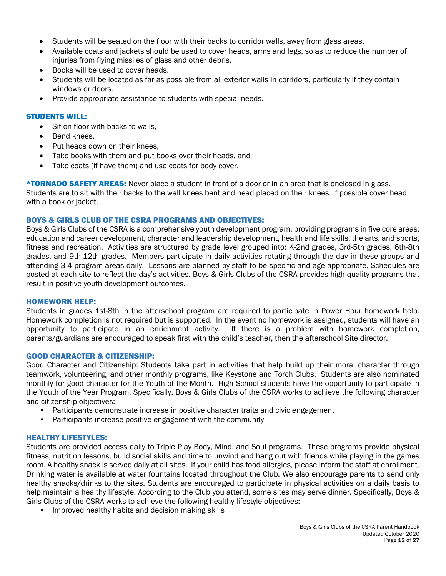- Students will be seated on the floor with their backs to corridor walls, away from glass areas.
- Available coats and jackets should be used to cover heads, arms and legs, so as to reduce the number of injuries from flying missiles of glass and other debris.
- Books will be used to cover heads.
- Students will be located as far as possible from all exterior walls in corridors, particularly if they contain windows or doors.
- Provide appropriate assistance to students with special needs.

## STUDENTS WILL:

- Sit on floor with backs to walls,
- Bend knees.
- Put heads down on their knees,
- Take books with them and put books over their heads, and
- Take coats (if have them) and use coats for body cover.

**\*TORNADO SAFETY AREAS:** Never place a student in front of a door or in an area that is enclosed in glass. Students are to sit with their backs to the wall knees bent and head placed on their knees. If possible cover head with a book or jacket.

## BOYS & GIRLS CLUB OF THE CSRA PROGRAMS AND OBJECTIVES:

Boys & Girls Clubs of the CSRA is a comprehensive youth development program, providing programs in five core areas: education and career development, character and leadership development, health and life skills, the arts, and sports, fitness and recreation. Activities are structured by grade level grouped into: K-2nd grades, 3rd-5th grades, 6th-8th grades, and 9th-12th grades. Members participate in daily activities rotating through the day in these groups and attending 3-4 program areas daily. Lessons are planned by staff to be specific and age appropriate. Schedules are posted at each site to reflect the day's activities. Boys & Girls Clubs of the CSRA provides high quality programs that result in positive youth development outcomes.

## HOMEWORK HELP:

Students in grades 1st-8th in the afterschool program are required to participate in Power Hour homework help. Homework completion is not required but is supported. In the event no homework is assigned, students will have an opportunity to participate in an enrichment activity. If there is a problem with homework completion, parents/guardians are encouraged to speak first with the child's teacher, then the afterschool Site director.

## GOOD CHARACTER & CITIZENSHIP:

Good Character and Citizenship: Students take part in activities that help build up their moral character through teamwork, volunteering, and other monthly programs, like Keystone and Torch Clubs. Students are also nominated monthly for good character for the Youth of the Month. High School students have the opportunity to participate in the Youth of the Year Program. Specifically, Boys & Girls Clubs of the CSRA works to achieve the following character and citizenship objectives:

- Participants demonstrate increase in positive character traits and civic engagement
- Participants increase positive engagement with the community

## HEALTHY LIFESTYLES:

Students are provided access daily to Triple Play Body, Mind, and Soul programs. These programs provide physical fitness, nutrition lessons, build social skills and time to unwind and hang out with friends while playing in the games room. A healthy snack is served daily at all sites. If your child has food allergies, please inform the staff at enrollment. Drinking water is available at water fountains located throughout the Club. We also encourage parents to send only healthy snacks/drinks to the sites. Students are encouraged to participate in physical activities on a daily basis to help maintain a healthy lifestyle. According to the Club you attend, some sites may serve dinner. Specifically, Boys & Girls Clubs of the CSRA works to achieve the following healthy lifestyle objectives:

• Improved healthy habits and decision making skills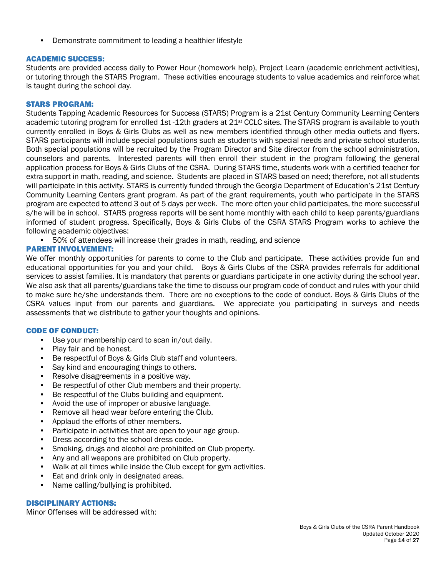• Demonstrate commitment to leading a healthier lifestyle

## ACADEMIC SUCCESS:

Students are provided access daily to Power Hour (homework help), Project Learn (academic enrichment activities), or tutoring through the STARS Program. These activities encourage students to value academics and reinforce what is taught during the school day.

#### STARS PROGRAM:

Students Tapping Academic Resources for Success (STARS) Program is a 21st Century Community Learning Centers academic tutoring program for enrolled 1st -12th graders at 21<sup>st</sup> CCLC sites. The STARS program is available to youth currently enrolled in Boys & Girls Clubs as well as new members identified through other media outlets and flyers. STARS participants will include special populations such as students with special needs and private school students. Both special populations will be recruited by the Program Director and Site director from the school administration, counselors and parents. Interested parents will then enroll their student in the program following the general application process for Boys & Girls Clubs of the CSRA. During STARS time, students work with a certified teacher for extra support in math, reading, and science. Students are placed in STARS based on need; therefore, not all students will participate in this activity. STARS is currently funded through the Georgia Department of Education's 21st Century Community Learning Centers grant program. As part of the grant requirements, youth who participate in the STARS program are expected to attend 3 out of 5 days per week. The more often your child participates, the more successful s/he will be in school. STARS progress reports will be sent home monthly with each child to keep parents/guardians informed of student progress. Specifically, Boys & Girls Clubs of the CSRA STARS Program works to achieve the following academic objectives:

• 50% of attendees will increase their grades in math, reading, and science

## PARENT INVOLVEMENT:

We offer monthly opportunities for parents to come to the Club and participate. These activities provide fun and educational opportunities for you and your child. Boys & Girls Clubs of the CSRA provides referrals for additional services to assist families. It is mandatory that parents or guardians participate in one activity during the school year. We also ask that all parents/guardians take the time to discuss our program code of conduct and rules with your child to make sure he/she understands them. There are no exceptions to the code of conduct. Boys & Girls Clubs of the CSRA values input from our parents and guardians. We appreciate you participating in surveys and needs assessments that we distribute to gather your thoughts and opinions.

## CODE OF CONDUCT:

- Use your membership card to scan in/out daily.
- Play fair and be honest.
- Be respectful of Boys & Girls Club staff and volunteers.
- Say kind and encouraging things to others.
- Resolve disagreements in a positive way.
- Be respectful of other Club members and their property.
- Be respectful of the Clubs building and equipment.
- Avoid the use of improper or abusive language.
- Remove all head wear before entering the Club.
- Applaud the efforts of other members.
- Participate in activities that are open to your age group.
- Dress according to the school dress code.
- Smoking, drugs and alcohol are prohibited on Club property.
- Any and all weapons are prohibited on Club property.
- Walk at all times while inside the Club except for gym activities.
- Eat and drink only in designated areas.
- Name calling/bullying is prohibited.

#### DISCIPLINARY ACTIONS:

Minor Offenses will be addressed with: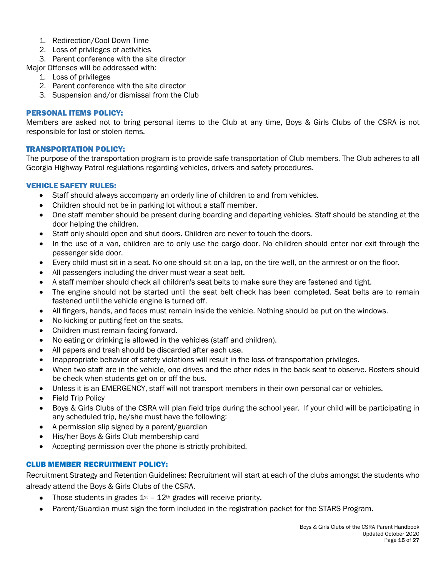- 1. Redirection/Cool Down Time
- 2. Loss of privileges of activities
- 3. Parent conference with the site director
- Major Offenses will be addressed with:
	- 1. Loss of privileges
	- 2. Parent conference with the site director
	- 3. Suspension and/or dismissal from the Club

## PERSONAL ITEMS POLICY:

Members are asked not to bring personal items to the Club at any time, Boys & Girls Clubs of the CSRA is not responsible for lost or stolen items.

## TRANSPORTATION POLICY:

The purpose of the transportation program is to provide safe transportation of Club members. The Club adheres to all Georgia Highway Patrol regulations regarding vehicles, drivers and safety procedures.

## VEHICLE SAFETY RULES:

- Staff should always accompany an orderly line of children to and from vehicles.
- Children should not be in parking lot without a staff member.
- One staff member should be present during boarding and departing vehicles. Staff should be standing at the door helping the children.
- Staff only should open and shut doors. Children are never to touch the doors.
- In the use of a van, children are to only use the cargo door. No children should enter nor exit through the passenger side door.
- Every child must sit in a seat. No one should sit on a lap, on the tire well, on the armrest or on the floor.
- All passengers including the driver must wear a seat belt.
- A staff member should check all children's seat belts to make sure they are fastened and tight.
- The engine should not be started until the seat belt check has been completed. Seat belts are to remain fastened until the vehicle engine is turned off.
- All fingers, hands, and faces must remain inside the vehicle. Nothing should be put on the windows.
- No kicking or putting feet on the seats.
- Children must remain facing forward.
- No eating or drinking is allowed in the vehicles (staff and children).
- All papers and trash should be discarded after each use.
- Inappropriate behavior of safety violations will result in the loss of transportation privileges.
- When two staff are in the vehicle, one drives and the other rides in the back seat to observe. Rosters should be check when students get on or off the bus.
- Unless it is an EMERGENCY, staff will not transport members in their own personal car or vehicles.
- Field Trip Policy
- Boys & Girls Clubs of the CSRA will plan field trips during the school year. If your child will be participating in any scheduled trip, he/she must have the following:
- A permission slip signed by a parent/guardian
- His/her Boys & Girls Club membership card
- Accepting permission over the phone is strictly prohibited.

# CLUB MEMBER RECRUITMENT POLICY:

Recruitment Strategy and Retention Guidelines: Recruitment will start at each of the clubs amongst the students who already attend the Boys & Girls Clubs of the CSRA.

- Those students in grades  $1<sup>st</sup> 12<sup>th</sup>$  grades will receive priority.
- Parent/Guardian must sign the form included in the registration packet for the STARS Program.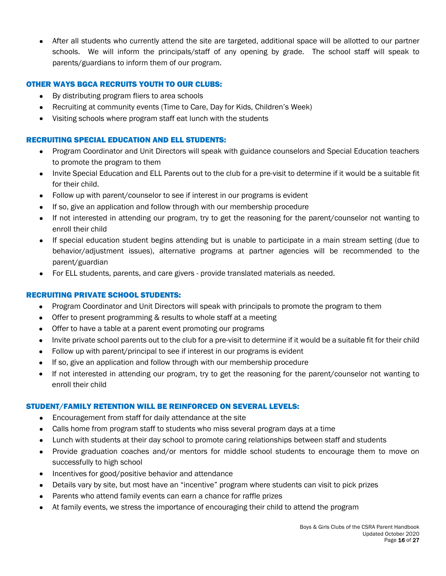• After all students who currently attend the site are targeted, additional space will be allotted to our partner schools. We will inform the principals/staff of any opening by grade. The school staff will speak to parents/guardians to inform them of our program.

## OTHER WAYS BGCA RECRUITS YOUTH TO OUR CLUBS:

- By distributing program fliers to area schools
- Recruiting at community events (Time to Care, Day for Kids, Children's Week)
- Visiting schools where program staff eat lunch with the students

## RECRUITING SPECIAL EDUCATION AND ELL STUDENTS:

- Program Coordinator and Unit Directors will speak with guidance counselors and Special Education teachers to promote the program to them
- Invite Special Education and ELL Parents out to the club for a pre-visit to determine if it would be a suitable fit for their child.
- Follow up with parent/counselor to see if interest in our programs is evident
- If so, give an application and follow through with our membership procedure
- If not interested in attending our program, try to get the reasoning for the parent/counselor not wanting to enroll their child
- If special education student begins attending but is unable to participate in a main stream setting (due to behavior/adjustment issues), alternative programs at partner agencies will be recommended to the parent/guardian
- For ELL students, parents, and care givers provide translated materials as needed.

## RECRUITING PRIVATE SCHOOL STUDENTS:

- Program Coordinator and Unit Directors will speak with principals to promote the program to them
- Offer to present programming & results to whole staff at a meeting
- Offer to have a table at a parent event promoting our programs
- Invite private school parents out to the club for a pre-visit to determine if it would be a suitable fit for their child
- Follow up with parent/principal to see if interest in our programs is evident
- If so, give an application and follow through with our membership procedure
- If not interested in attending our program, try to get the reasoning for the parent/counselor not wanting to enroll their child

## STUDENT/FAMILY RETENTION WILL BE REINFORCED ON SEVERAL LEVELS:

- Encouragement from staff for daily attendance at the site
- Calls home from program staff to students who miss several program days at a time
- Lunch with students at their day school to promote caring relationships between staff and students
- Provide graduation coaches and/or mentors for middle school students to encourage them to move on successfully to high school
- Incentives for good/positive behavior and attendance
- Details vary by site, but most have an "incentive" program where students can visit to pick prizes
- Parents who attend family events can earn a chance for raffle prizes
- At family events, we stress the importance of encouraging their child to attend the program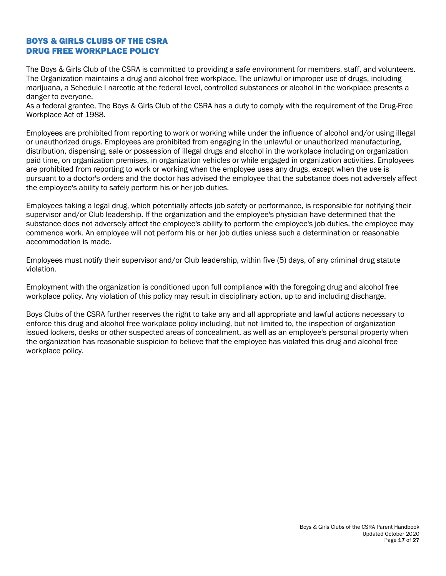# BOYS & GIRLS CLUBS OF THE CSRA DRUG FREE WORKPLACE POLICY

The Boys & Girls Club of the CSRA is committed to providing a safe environment for members, staff, and volunteers. The Organization maintains a drug and alcohol free workplace. The unlawful or improper use of drugs, including marijuana, a Schedule I narcotic at the federal level, controlled substances or alcohol in the workplace presents a danger to everyone.

As a federal grantee, The Boys & Girls Club of the CSRA has a duty to comply with the requirement of the Drug-Free Workplace Act of 1988.

Employees are prohibited from reporting to work or working while under the influence of alcohol and/or using illegal or unauthorized drugs. Employees are prohibited from engaging in the unlawful or unauthorized manufacturing, distribution, dispensing, sale or possession of illegal drugs and alcohol in the workplace including on organization paid time, on organization premises, in organization vehicles or while engaged in organization activities. Employees are prohibited from reporting to work or working when the employee uses any drugs, except when the use is pursuant to a doctor's orders and the doctor has advised the employee that the substance does not adversely affect the employee's ability to safely perform his or her job duties.

Employees taking a legal drug, which potentially affects job safety or performance, is responsible for notifying their supervisor and/or Club leadership. If the organization and the employee's physician have determined that the substance does not adversely affect the employee's ability to perform the employee's job duties, the employee may commence work. An employee will not perform his or her job duties unless such a determination or reasonable accommodation is made.

Employees must notify their supervisor and/or Club leadership, within five (5) days, of any criminal drug statute violation.

Employment with the organization is conditioned upon full compliance with the foregoing drug and alcohol free workplace policy. Any violation of this policy may result in disciplinary action, up to and including discharge.

Boys Clubs of the CSRA further reserves the right to take any and all appropriate and lawful actions necessary to enforce this drug and alcohol free workplace policy including, but not limited to, the inspection of organization issued lockers, desks or other suspected areas of concealment, as well as an employee's personal property when the organization has reasonable suspicion to believe that the employee has violated this drug and alcohol free workplace policy.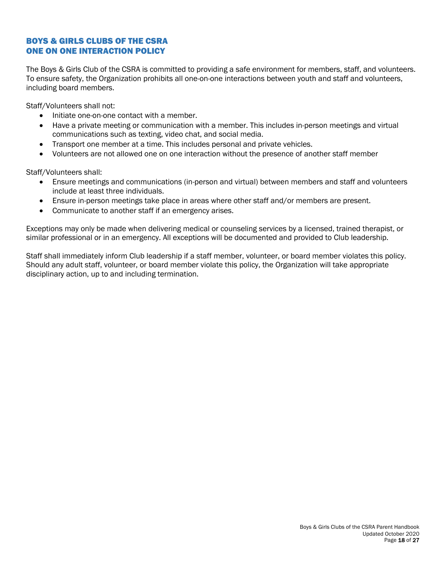# BOYS & GIRLS CLUBS OF THE CSRA ONE ON ONE INTERACTION POLICY

The Boys & Girls Club of the CSRA is committed to providing a safe environment for members, staff, and volunteers. To ensure safety, the Organization prohibits all one-on-one interactions between youth and staff and volunteers, including board members.

Staff/Volunteers shall not:

- Initiate one-on-one contact with a member.
- Have a private meeting or communication with a member. This includes in-person meetings and virtual communications such as texting, video chat, and social media.
- Transport one member at a time. This includes personal and private vehicles.
- Volunteers are not allowed one on one interaction without the presence of another staff member

Staff/Volunteers shall:

- Ensure meetings and communications (in-person and virtual) between members and staff and volunteers include at least three individuals.
- Ensure in-person meetings take place in areas where other staff and/or members are present.
- Communicate to another staff if an emergency arises.

Exceptions may only be made when delivering medical or counseling services by a licensed, trained therapist, or similar professional or in an emergency. All exceptions will be documented and provided to Club leadership.

Staff shall immediately inform Club leadership if a staff member, volunteer, or board member violates this policy. Should any adult staff, volunteer, or board member violate this policy, the Organization will take appropriate disciplinary action, up to and including termination.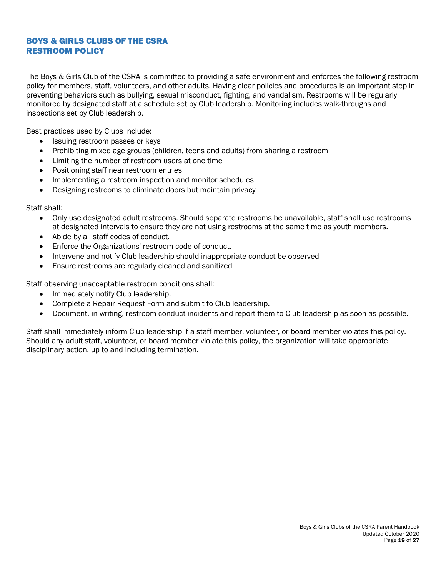# BOYS & GIRLS CLUBS OF THE CSRA RESTROOM POLICY

The Boys & Girls Club of the CSRA is committed to providing a safe environment and enforces the following restroom policy for members, staff, volunteers, and other adults. Having clear policies and procedures is an important step in preventing behaviors such as bullying, sexual misconduct, fighting, and vandalism. Restrooms will be regularly monitored by designated staff at a schedule set by Club leadership. Monitoring includes walk-throughs and inspections set by Club leadership.

Best practices used by Clubs include:

- Issuing restroom passes or keys
- Prohibiting mixed age groups (children, teens and adults) from sharing a restroom
- Limiting the number of restroom users at one time
- Positioning staff near restroom entries
- Implementing a restroom inspection and monitor schedules
- Designing restrooms to eliminate doors but maintain privacy

Staff shall:

- Only use designated adult restrooms. Should separate restrooms be unavailable, staff shall use restrooms at designated intervals to ensure they are not using restrooms at the same time as youth members.
- Abide by all staff codes of conduct.
- Enforce the Organizations' restroom code of conduct.
- Intervene and notify Club leadership should inappropriate conduct be observed
- Ensure restrooms are regularly cleaned and sanitized

Staff observing unacceptable restroom conditions shall:

- Immediately notify Club leadership.
- Complete a Repair Request Form and submit to Club leadership.
- Document, in writing, restroom conduct incidents and report them to Club leadership as soon as possible.

Staff shall immediately inform Club leadership if a staff member, volunteer, or board member violates this policy. Should any adult staff, volunteer, or board member violate this policy, the organization will take appropriate disciplinary action, up to and including termination.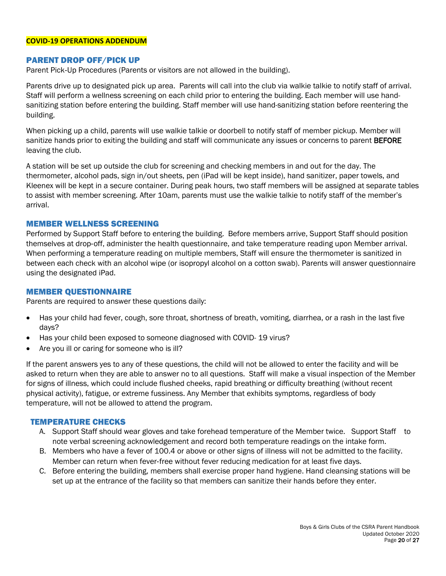#### **COVID-19 OPERATIONS ADDENDUM**

## PARENT DROP OFF/PICK UP

Parent Pick-Up Procedures (Parents or visitors are not allowed in the building).

Parents drive up to designated pick up area. Parents will call into the club via walkie talkie to notify staff of arrival. Staff will perform a wellness screening on each child prior to entering the building. Each member will use handsanitizing station before entering the building. Staff member will use hand-sanitizing station before reentering the building.

When picking up a child, parents will use walkie talkie or doorbell to notify staff of member pickup. Member will sanitize hands prior to exiting the building and staff will communicate any issues or concerns to parent BEFORE leaving the club.

A station will be set up outside the club for screening and checking members in and out for the day. The thermometer, alcohol pads, sign in/out sheets, pen (iPad will be kept inside), hand sanitizer, paper towels, and Kleenex will be kept in a secure container. During peak hours, two staff members will be assigned at separate tables to assist with member screening. After 10am, parents must use the walkie talkie to notify staff of the member's arrival.

## MEMBER WELLNESS SCREENING

Performed by Support Staff before to entering the building. Before members arrive, Support Staff should position themselves at drop-off, administer the health questionnaire, and take temperature reading upon Member arrival. When performing a temperature reading on multiple members, Staff will ensure the thermometer is sanitized in between each check with an alcohol wipe (or isopropyl alcohol on a cotton swab). Parents will answer questionnaire using the designated iPad.

#### MEMBER QUESTIONNAIRE

Parents are required to answer these questions daily:

- Has your child had fever, cough, sore throat, shortness of breath, vomiting, diarrhea, or a rash in the last five days?
- Has your child been exposed to someone diagnosed with COVID- 19 virus?
- Are you ill or caring for someone who is ill?

If the parent answers yes to any of these questions, the child will not be allowed to enter the facility and will be asked to return when they are able to answer no to all questions. Staff will make a visual inspection of the Member for signs of illness, which could include flushed cheeks, rapid breathing or difficulty breathing (without recent physical activity), fatigue, or extreme fussiness. Any Member that exhibits symptoms, regardless of body temperature, will not be allowed to attend the program.

## TEMPERATURE CHECKS

- A. Support Staff should wear gloves and take forehead temperature of the Member twice. Support Staff to note verbal screening acknowledgement and record both temperature readings on the intake form.
- B. Members who have a fever of 100.4 or above or other signs of illness will not be admitted to the facility. Member can return when fever-free without fever reducing medication for at least five days.
- C. Before entering the building, members shall exercise proper hand hygiene. Hand cleansing stations will be set up at the entrance of the facility so that members can sanitize their hands before they enter.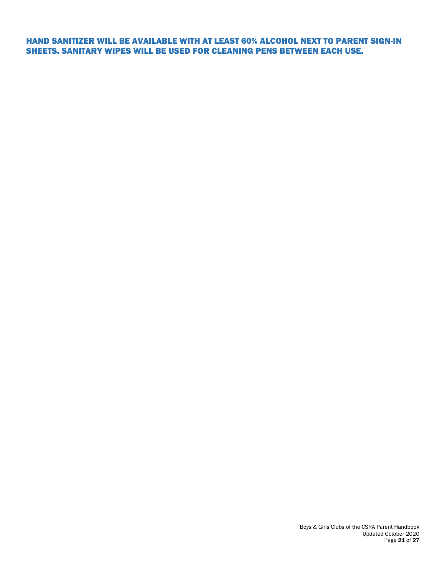HAND SANITIZER WILL BE AVAILABLE WITH AT LEAST 60% ALCOHOL NEXT TO PARENT SIGN-IN SHEETS. SANITARY WIPES WILL BE USED FOR CLEANING PENS BETWEEN EACH USE.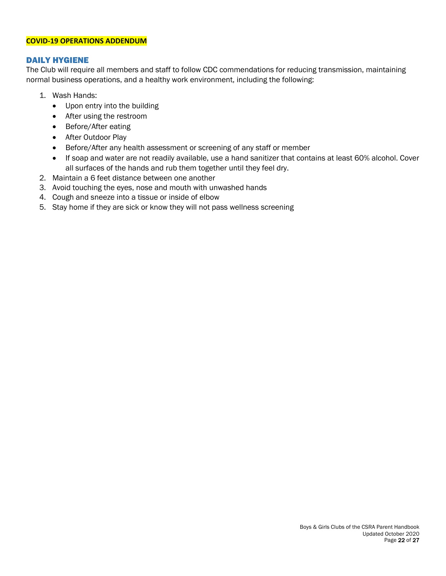#### **COVID-19 OPERATIONS ADDENDUM**

## DAILY HYGIENE

The Club will require all members and staff to follow CDC commendations for reducing transmission, maintaining normal business operations, and a healthy work environment, including the following:

- 1. Wash Hands:
	- Upon entry into the building
	- After using the restroom
	- Before/After eating
	- After Outdoor Play
	- Before/After any health assessment or screening of any staff or member
	- If soap and water are not readily available, use a hand sanitizer that contains at least 60% alcohol. Cover all surfaces of the hands and rub them together until they feel dry.
- 2. Maintain a 6 feet distance between one another
- 3. Avoid touching the eyes, nose and mouth with unwashed hands
- 4. Cough and sneeze into a tissue or inside of elbow
- 5. Stay home if they are sick or know they will not pass wellness screening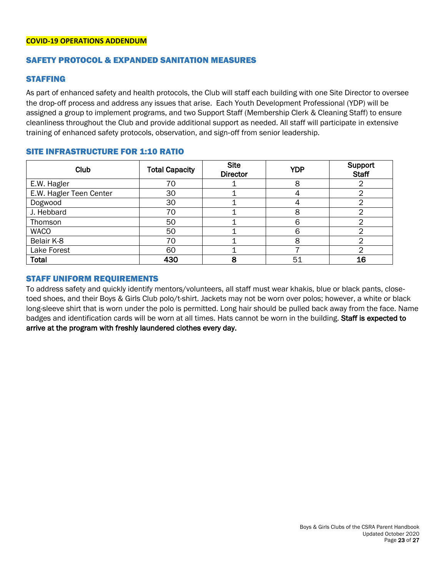## SAFETY PROTOCOL & EXPANDED SANITATION MEASURES

#### STAFFING

As part of enhanced safety and health protocols, the Club will staff each building with one Site Director to oversee the drop-off process and address any issues that arise. Each Youth Development Professional (YDP) will be assigned a group to implement programs, and two Support Staff (Membership Clerk & Cleaning Staff) to ensure cleanliness throughout the Club and provide additional support as needed. All staff will participate in extensive training of enhanced safety protocols, observation, and sign-off from senior leadership.

|  |  | <b>SITE INFRASTRUCTURE FOR 1:10 RATIO</b> |  |
|--|--|-------------------------------------------|--|
|  |  |                                           |  |

| <b>Club</b>             | <b>Total Capacity</b> | <b>Site</b><br><b>Director</b> | <b>YDP</b> | Support<br><b>Staff</b> |
|-------------------------|-----------------------|--------------------------------|------------|-------------------------|
| E.W. Hagler             | 70                    |                                |            |                         |
| E.W. Hagler Teen Center | 30                    |                                |            |                         |
| Dogwood                 | 30                    |                                |            |                         |
| J. Hebbard              | 70                    |                                |            |                         |
| Thomson                 | 50                    |                                |            |                         |
| <b>WACO</b>             | 50                    |                                |            |                         |
| Belair K-8              | 70                    |                                |            |                         |
| Lake Forest             | 60                    |                                |            |                         |
| <b>Total</b>            | 430                   | 8                              | 51         | 16                      |

#### STAFF UNIFORM REQUIREMENTS

To address safety and quickly identify mentors/volunteers, all staff must wear khakis, blue or black pants, closetoed shoes, and their Boys & Girls Club polo/t-shirt. Jackets may not be worn over polos; however, a white or black long-sleeve shirt that is worn under the polo is permitted. Long hair should be pulled back away from the face. Name badges and identification cards will be worn at all times. Hats cannot be worn in the building. Staff is expected to arrive at the program with freshly laundered clothes every day.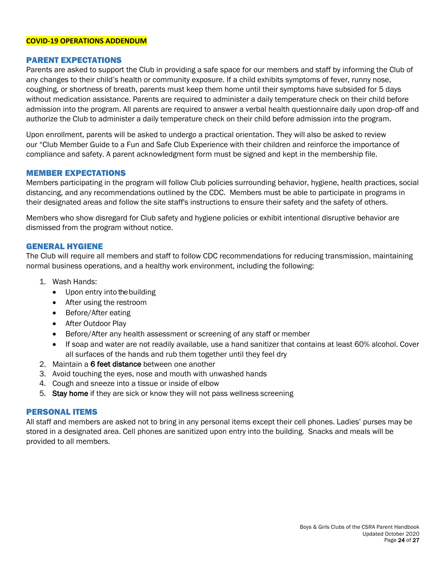#### **COVID-19 OPERATIONS ADDENDUM**

## PARENT EXPECTATIONS

Parents are asked to support the Club in providing a safe space for our members and staff by informing the Club of any changes to their child's health or community exposure. If a child exhibits symptoms of fever, runny nose, coughing, or shortness of breath, parents must keep them home until their symptoms have subsided for 5 days without medication assistance. Parents are required to administer a daily temperature check on their child before admission into the program. All parents are required to answer a verbal health questionnaire daily upon drop-off and authorize the Club to administer a daily temperature check on their child before admission into the program.

Upon enrollment, parents will be asked to undergo a practical orientation. They will also be asked to review our "Club Member Guide to a Fun and Safe Club Experience with their children and reinforce the importance of compliance and safety. A parent acknowledgment form must be signed and kept in the membership file.

## MEMBER EXPECTATIONS

Members participating in the program will follow Club policies surrounding behavior, hygiene, health practices, social distancing, and any recommendations outlined by the CDC. Members must be able to participate in programs in their designated areas and follow the site staff's instructions to ensure their safety and the safety of others.

Members who show disregard for Club safety and hygiene policies or exhibit intentional disruptive behavior are dismissed from the program without notice.

## GENERAL HYGIENE

The Club will require all members and staff to follow CDC recommendations for reducing transmission, maintaining normal business operations, and a healthy work environment, including the following:

- 1. Wash Hands:
	- Upon entry into the building
	- After using the restroom
	- Before/After eating
	- After Outdoor Play
	- Before/After any health assessment or screening of any staff or member
	- If soap and water are not readily available, use a hand sanitizer that contains at least 60% alcohol. Cover all surfaces of the hands and rub them together until they feel dry
- 2. Maintain a 6 feet distance between one another
- 3. Avoid touching the eyes, nose and mouth with unwashed hands
- 4. Cough and sneeze into a tissue or inside of elbow
- 5. Stay home if they are sick or know they will not pass wellness screening

## PERSONAL ITEMS

All staff and members are asked not to bring in any personal items except their cell phones. Ladies' purses may be stored in a designated area. Cell phones are sanitized upon entry into the building. Snacks and meals will be provided to all members.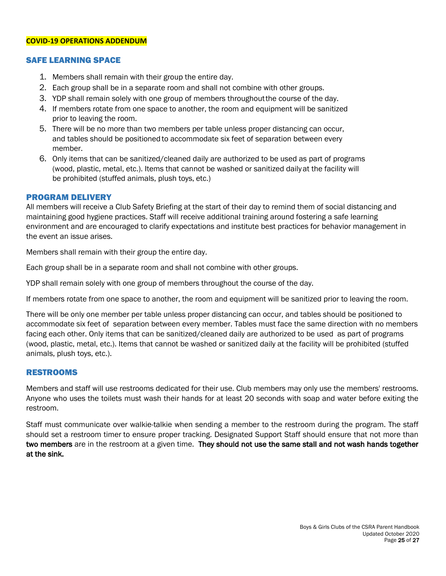#### **COVID-19 OPERATIONS ADDENDUM**

## SAFE LEARNING SPACE

- 1. Members shall remain with their group the entire day.
- 2. Each group shall be in a separate room and shall not combine with other groups.
- 3. YDP shall remain solely with one group of members throughoutthe course of the day.
- 4. If members rotate from one space to another, the room and equipment will be sanitized prior to leaving the room.
- 5. There will be no more than two members per table unless proper distancing can occur, and tables should be positioned to accommodate six feet of separation between every member.
- 6. Only items that can be sanitized/cleaned daily are authorized to be used as part of programs (wood, plastic, metal, etc.). Items that cannot be washed or sanitized daily at the facility will be prohibited (stuffed animals, plush toys, etc.)

## PROGRAM DELIVERY

All members will receive a Club Safety Briefing at the start of their day to remind them of social distancing and maintaining good hygiene practices. Staff will receive additional training around fostering a safe learning environment and are encouraged to clarify expectations and institute best practices for behavior management in the event an issue arises.

Members shall remain with their group the entire day.

Each group shall be in a separate room and shall not combine with other groups.

YDP shall remain solely with one group of members throughout the course of the day.

If members rotate from one space to another, the room and equipment will be sanitized prior to leaving the room.

There will be only one member per table unless proper distancing can occur, and tables should be positioned to accommodate six feet of separation between every member. Tables must face the same direction with no members facing each other. Only items that can be sanitized/cleaned daily are authorized to be used as part of programs (wood, plastic, metal, etc.). Items that cannot be washed or sanitized daily at the facility will be prohibited (stuffed animals, plush toys, etc.).

## RESTROOMS

Members and staff will use restrooms dedicated for their use. Club members may only use the members' restrooms. Anyone who uses the toilets must wash their hands for at least 20 seconds with soap and water before exiting the restroom.

Staff must communicate over walkie-talkie when sending a member to the restroom during the program. The staff should set a restroom timer to ensure proper tracking. Designated Support Staff should ensure that not more than two members are in the restroom at a given time. They should not use the same stall and not wash hands together at the sink.